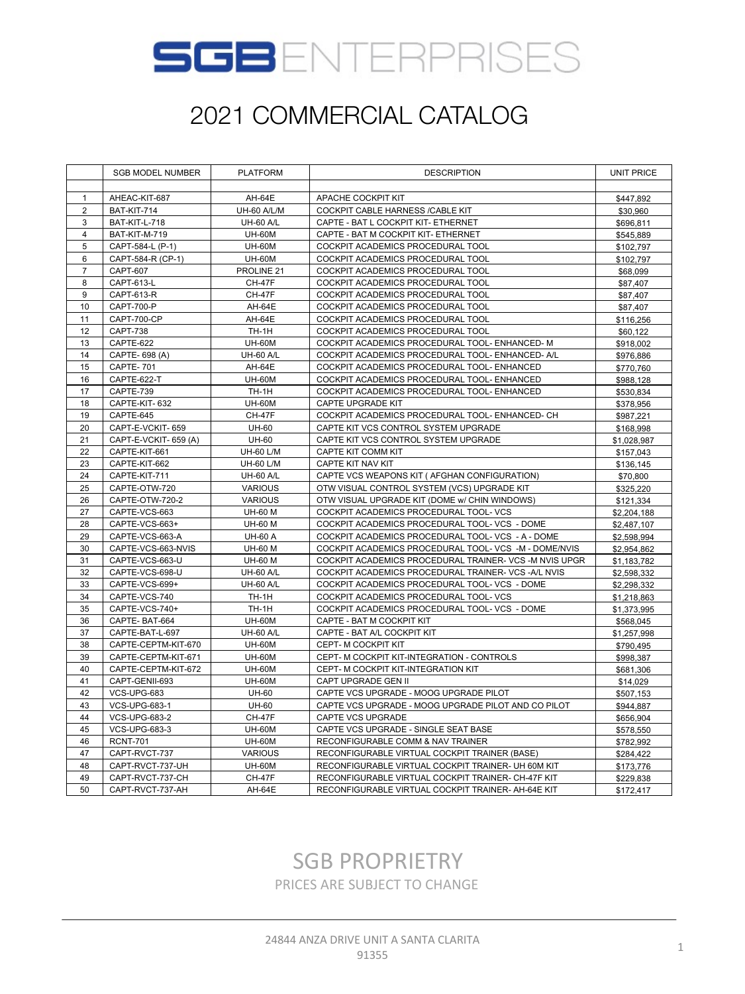

|                | <b>SGB MODEL NUMBER</b> | <b>PLATFORM</b>  | <b>DESCRIPTION</b>                                     | <b>UNIT PRICE</b> |
|----------------|-------------------------|------------------|--------------------------------------------------------|-------------------|
|                |                         |                  |                                                        |                   |
| $\mathbf{1}$   | AHEAC-KIT-687           | <b>AH-64E</b>    | APACHE COCKPIT KIT                                     | \$447,892         |
| $\overline{2}$ | BAT-KIT-714             | UH-60 A/L/M      | COCKPIT CABLE HARNESS /CABLE KIT                       | \$30,960          |
| 3              | BAT-KIT-L-718           | <b>UH-60 A/L</b> | CAPTE - BAT L COCKPIT KIT- ETHERNET                    | \$696,811         |
| $\overline{4}$ | BAT-KIT-M-719           | <b>UH-60M</b>    | CAPTE - BAT M COCKPIT KIT- ETHERNET                    | \$545,889         |
| 5              | CAPT-584-L (P-1)        | <b>UH-60M</b>    | COCKPIT ACADEMICS PROCEDURAL TOOL                      | \$102,797         |
| 6              | CAPT-584-R (CP-1)       | <b>UH-60M</b>    | COCKPIT ACADEMICS PROCEDURAL TOOL                      | \$102,797         |
| $\overline{7}$ | <b>CAPT-607</b>         | PROLINE 21       | COCKPIT ACADEMICS PROCEDURAL TOOL                      | \$68,099          |
| 8              | CAPT-613-L              | <b>CH-47F</b>    | COCKPIT ACADEMICS PROCEDURAL TOOL                      | \$87,407          |
| 9              | CAPT-613-R              | <b>CH-47F</b>    | COCKPIT ACADEMICS PROCEDURAL TOOL                      | \$87,407          |
| 10             | CAPT-700-P              | AH-64E           | COCKPIT ACADEMICS PROCEDURAL TOOL                      | \$87,407          |
| 11             | CAPT-700-CP             | AH-64E           | COCKPIT ACADEMICS PROCEDURAL TOOL                      | \$116,256         |
| 12             | <b>CAPT-738</b>         | <b>TH-1H</b>     | COCKPIT ACADEMICS PROCEDURAL TOOL                      | \$60,122          |
| 13             | CAPTE-622               | <b>UH-60M</b>    | COCKPIT ACADEMICS PROCEDURAL TOOL- ENHANCED- M         | \$918,002         |
| 14             | CAPTE- 698 (A)          | <b>UH-60 A/L</b> | COCKPIT ACADEMICS PROCEDURAL TOOL- ENHANCED- A/L       | \$976,886         |
| 15             | CAPTE-701               | AH-64E           | COCKPIT ACADEMICS PROCEDURAL TOOL- ENHANCED            | \$770,760         |
| 16             | CAPTE-622-T             | <b>UH-60M</b>    | COCKPIT ACADEMICS PROCEDURAL TOOL- ENHANCED            | \$988,128         |
| 17             | CAPTE-739               | <b>TH-1H</b>     | COCKPIT ACADEMICS PROCEDURAL TOOL- ENHANCED            | \$530,834         |
| 18             | CAPTE-KIT-632           | <b>UH-60M</b>    | CAPTE UPGRADE KIT                                      | \$378,956         |
| 19             | CAPTE-645               | <b>CH-47F</b>    | COCKPIT ACADEMICS PROCEDURAL TOOL- ENHANCED- CH        | \$987,221         |
| 20             | CAPT-E-VCKIT-659        | <b>UH-60</b>     | CAPTE KIT VCS CONTROL SYSTEM UPGRADE                   | \$168,998         |
| 21             | CAPT-E-VCKIT- 659 (A)   | <b>UH-60</b>     | CAPTE KIT VCS CONTROL SYSTEM UPGRADE                   | \$1,028,987       |
| 22             | CAPTE-KIT-661           | <b>UH-60 L/M</b> | CAPTE KIT COMM KIT                                     | \$157,043         |
| 23             | CAPTE-KIT-662           | <b>UH-60 L/M</b> | CAPTE KIT NAV KIT                                      | \$136,145         |
| 24             | CAPTE-KIT-711           | <b>UH-60 A/L</b> | CAPTE VCS WEAPONS KIT ( AFGHAN CONFIGURATION)          | \$70,800          |
| 25             | CAPTE-OTW-720           | <b>VARIOUS</b>   | OTW VISUAL CONTROL SYSTEM (VCS) UPGRADE KIT            | \$325,220         |
| 26             | CAPTE-OTW-720-2         | <b>VARIOUS</b>   | OTW VISUAL UPGRADE KIT (DOME w/ CHIN WINDOWS)          | \$121,334         |
| 27             | CAPTE-VCS-663           | <b>UH-60 M</b>   | COCKPIT ACADEMICS PROCEDURAL TOOL- VCS                 | \$2,204,188       |
| 28             | CAPTE-VCS-663+          | <b>UH-60 M</b>   | COCKPIT ACADEMICS PROCEDURAL TOOL- VCS - DOME          | \$2,487,107       |
| 29             | CAPTE-VCS-663-A         | <b>UH-60 A</b>   | COCKPIT ACADEMICS PROCEDURAL TOOL- VCS - A - DOME      | \$2,598,994       |
| 30             | CAPTE-VCS-663-NVIS      | <b>UH-60 M</b>   | COCKPIT ACADEMICS PROCEDURAL TOOL- VCS -M - DOME/NVIS  | \$2,954,862       |
| 31             | CAPTE-VCS-663-U         | <b>UH-60 M</b>   | COCKPIT ACADEMICS PROCEDURAL TRAINER- VCS -M NVIS UPGR | \$1,183,782       |
| 32             | CAPTE-VCS-698-U         | <b>UH-60 A/L</b> | COCKPIT ACADEMICS PROCEDURAL TRAINER- VCS -A/L NVIS    | \$2,598,332       |
| 33             | CAPTE-VCS-699+          | <b>UH-60 A/L</b> | COCKPIT ACADEMICS PROCEDURAL TOOL- VCS - DOME          | \$2,298,332       |
| 34             | CAPTE-VCS-740           | <b>TH-1H</b>     | COCKPIT ACADEMICS PROCEDURAL TOOL- VCS                 | \$1,218,863       |
| 35             | CAPTE-VCS-740+          | TH-1H            | COCKPIT ACADEMICS PROCEDURAL TOOL- VCS - DOME          | \$1,373,995       |
| 36             | CAPTE-BAT-664           | <b>UH-60M</b>    | CAPTE - BAT M COCKPIT KIT                              | \$568,045         |
| 37             | CAPTE-BAT-L-697         | <b>UH-60 A/L</b> | CAPTE - BAT A/L COCKPIT KIT                            | \$1,257,998       |
| 38             | CAPTE-CEPTM-KIT-670     | <b>UH-60M</b>    | CEPT- M COCKPIT KIT                                    | \$790,495         |
| 39             | CAPTE-CEPTM-KIT-671     | <b>UH-60M</b>    | CEPT- M COCKPIT KIT-INTEGRATION - CONTROLS             | \$998,387         |
| 40             | CAPTE-CEPTM-KIT-672     | <b>UH-60M</b>    | CEPT- M COCKPIT KIT-INTEGRATION KIT                    | \$681,306         |
| 41             | CAPT-GENII-693          | <b>UH-60M</b>    | CAPT UPGRADE GEN II                                    | \$14,029          |
| 42             | VCS-UPG-683             | <b>UH-60</b>     | CAPTE VCS UPGRADE - MOOG UPGRADE PILOT                 | \$507,153         |
| 43             | <b>VCS-UPG-683-1</b>    | <b>UH-60</b>     | CAPTE VCS UPGRADE - MOOG UPGRADE PILOT AND CO PILOT    | \$944,887         |
| 44             | <b>VCS-UPG-683-2</b>    | <b>CH-47F</b>    | CAPTE VCS UPGRADE                                      | \$656,904         |
| 45             | <b>VCS-UPG-683-3</b>    | <b>UH-60M</b>    | CAPTE VCS UPGRADE - SINGLE SEAT BASE                   | \$578,550         |
| 46             | <b>RCNT-701</b>         | <b>UH-60M</b>    | RECONFIGURABLE COMM & NAV TRAINER                      | \$782,992         |
| 47             | CAPT-RVCT-737           | <b>VARIOUS</b>   | RECONFIGURABLE VIRTUAL COCKPIT TRAINER (BASE)          | \$284,422         |
| 48             | CAPT-RVCT-737-UH        | <b>UH-60M</b>    | RECONFIGURABLE VIRTUAL COCKPIT TRAINER- UH 60M KIT     | \$173,776         |
| 49             | CAPT-RVCT-737-CH        | <b>CH-47F</b>    | RECONFIGURABLE VIRTUAL COCKPIT TRAINER- CH-47F KIT     | \$229,838         |
| 50             | CAPT-RVCT-737-AH        | <b>AH-64E</b>    | RECONFIGURABLE VIRTUAL COCKPIT TRAINER- AH-64E KIT     | \$172,417         |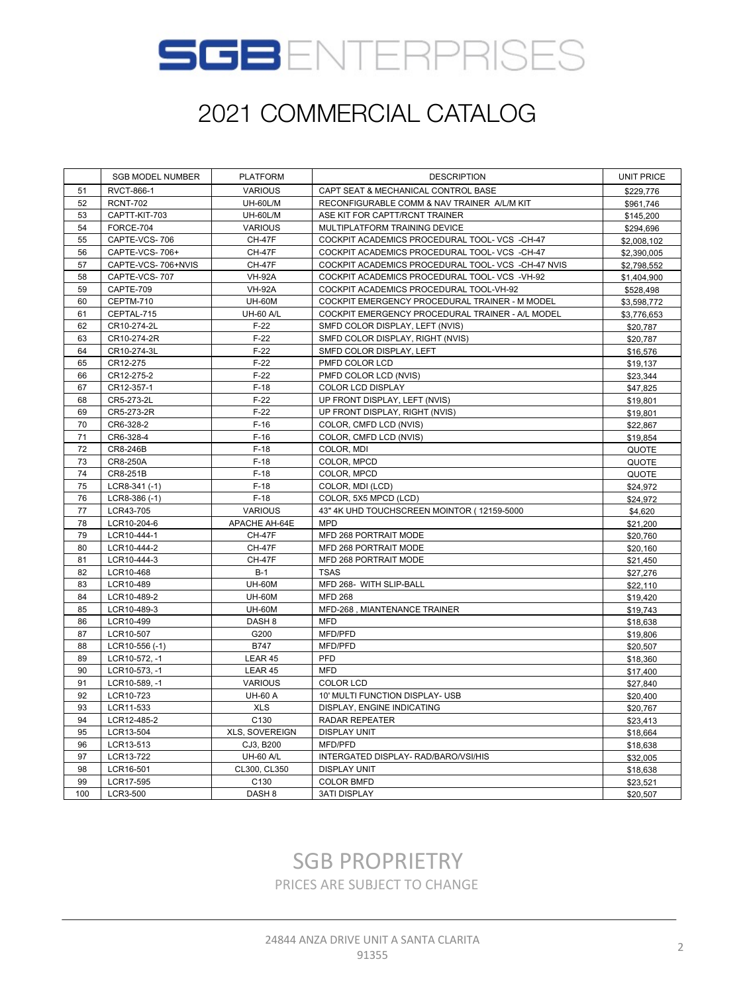

|     | <b>SGB MODEL NUMBER</b> | <b>PLATFORM</b>   | <b>DESCRIPTION</b>                                 | <b>UNIT PRICE</b> |
|-----|-------------------------|-------------------|----------------------------------------------------|-------------------|
| 51  | <b>RVCT-866-1</b>       | <b>VARIOUS</b>    | CAPT SEAT & MECHANICAL CONTROL BASE                | \$229,776         |
| 52  | <b>RCNT-702</b>         | <b>UH-60L/M</b>   | RECONFIGURABLE COMM & NAV TRAINER A/L/M KIT        | \$961,746         |
| 53  | CAPTT-KIT-703           | <b>UH-60L/M</b>   | ASE KIT FOR CAPTT/RCNT TRAINER                     | \$145,200         |
| 54  | FORCE-704               | <b>VARIOUS</b>    | MULTIPLATFORM TRAINING DEVICE                      | \$294,696         |
| 55  | CAPTE-VCS-706           | <b>CH-47F</b>     | COCKPIT ACADEMICS PROCEDURAL TOOL- VCS -CH-47      | \$2,008.102       |
| 56  | CAPTE-VCS-706+          | <b>CH-47F</b>     | COCKPIT ACADEMICS PROCEDURAL TOOL- VCS -CH-47      | \$2,390,005       |
| 57  | CAPTE-VCS-706+NVIS      | <b>CH-47F</b>     | COCKPIT ACADEMICS PROCEDURAL TOOL- VCS -CH-47 NVIS | \$2,798,552       |
| 58  | CAPTE-VCS-707           | <b>VH-92A</b>     | COCKPIT ACADEMICS PROCEDURAL TOOL- VCS -VH-92      | \$1,404,900       |
| 59  | CAPTE-709               | <b>VH-92A</b>     | COCKPIT ACADEMICS PROCEDURAL TOOL-VH-92            | \$528,498         |
| 60  | CEPTM-710               | <b>UH-60M</b>     | COCKPIT EMERGENCY PROCEDURAL TRAINER - M MODEL     | \$3,598,772       |
| 61  | CEPTAL-715              | <b>UH-60 A/L</b>  | COCKPIT EMERGENCY PROCEDURAL TRAINER - A/L MODEL   | \$3,776,653       |
| 62  | CR10-274-2L             | $F-22$            | SMFD COLOR DISPLAY, LEFT (NVIS)                    | \$20,787          |
| 63  | CR10-274-2R             | $F-22$            | SMFD COLOR DISPLAY, RIGHT (NVIS)                   | \$20,787          |
| 64  | CR10-274-3L             | $F-22$            | SMFD COLOR DISPLAY, LEFT                           | \$16,576          |
| 65  | CR12-275                | $F-22$            | PMFD COLOR LCD                                     | \$19,137          |
| 66  | CR12-275-2              | $F-22$            | PMFD COLOR LCD (NVIS)                              | \$23,344          |
| 67  | CR12-357-1              | $F-18$            | COLOR LCD DISPLAY                                  | \$47,825          |
| 68  | CR5-273-2L              | $F-22$            | UP FRONT DISPLAY, LEFT (NVIS)                      | \$19,801          |
| 69  | CR5-273-2R              | $F-22$            | UP FRONT DISPLAY, RIGHT (NVIS)                     | \$19,801          |
| 70  | CR6-328-2               | $F-16$            | COLOR, CMFD LCD (NVIS)                             | \$22,867          |
| 71  | CR6-328-4               | $F-16$            | COLOR. CMFD LCD (NVIS)                             | \$19,854          |
| 72  | CR8-246B                | $F-18$            | COLOR, MDI                                         | QUOTE             |
| 73  | CR8-250A                | $F-18$            | COLOR, MPCD                                        | QUOTE             |
| 74  | CR8-251B                | $F-18$            | COLOR, MPCD                                        | QUOTE             |
| 75  | $LCR8-341(-1)$          | $F-18$            | COLOR, MDI (LCD)                                   | \$24,972          |
| 76  | LCR8-386 (-1)           | $F-18$            | COLOR, 5X5 MPCD (LCD)                              | \$24,972          |
| 77  | LCR43-705               | <b>VARIOUS</b>    | 43" 4K UHD TOUCHSCREEN MOINTOR (12159-5000         | \$4,620           |
| 78  | LCR10-204-6             | APACHE AH-64E     | <b>MPD</b>                                         | \$21,200          |
| 79  | LCR10-444-1             | <b>CH-47F</b>     | MFD 268 PORTRAIT MODE                              | \$20,760          |
| 80  | LCR10-444-2             | <b>CH-47F</b>     | MFD 268 PORTRAIT MODE                              | \$20,160          |
| 81  | LCR10-444-3             | <b>CH-47F</b>     | MFD 268 PORTRAIT MODE                              | \$21,450          |
| 82  | LCR10-468               | $B-1$             | <b>TSAS</b>                                        | \$27,276          |
| 83  | LCR10-489               | <b>UH-60M</b>     | MFD 268- WITH SLIP-BALL                            | \$22,110          |
| 84  | LCR10-489-2             | <b>UH-60M</b>     | <b>MFD 268</b>                                     | \$19,420          |
| 85  | LCR10-489-3             | <b>UH-60M</b>     | MFD-268, MIANTENANCE TRAINER                       | \$19,743          |
| 86  | LCR10-499               | DASH <sub>8</sub> | <b>MFD</b>                                         | \$18,638          |
| 87  | LCR10-507               | G200              | MFD/PFD                                            | \$19,806          |
| 88  | LCR10-556 (-1)          | <b>B747</b>       | MFD/PFD                                            | \$20,507          |
| 89  | LCR10-572, -1           | LEAR 45           | PFD                                                | \$18,360          |
| 90  | LCR10-573, -1           | LEAR 45           | <b>MFD</b>                                         | \$17,400          |
| 91  | LCR10-589, -1           | <b>VARIOUS</b>    | <b>COLOR LCD</b>                                   | \$27,840          |
| 92  | LCR10-723               | <b>UH-60 A</b>    | 10' MULTI FUNCTION DISPLAY- USB                    | \$20,400          |
| 93  | LCR11-533               | <b>XLS</b>        | DISPLAY, ENGINE INDICATING                         | \$20,767          |
| 94  | LCR12-485-2             | C130              | <b>RADAR REPEATER</b>                              | \$23,413          |
| 95  | LCR13-504               | XLS, SOVEREIGN    | <b>DISPLAY UNIT</b>                                | \$18,664          |
| 96  | LCR13-513               | CJ3, B200         | MFD/PFD                                            | \$18,638          |
| 97  | LCR13-722               | <b>UH-60 A/L</b>  | INTERGATED DISPLAY- RAD/BARO/VSI/HIS               | \$32,005          |
| 98  | LCR16-501               | CL300, CL350      | <b>DISPLAY UNIT</b>                                | \$18,638          |
| 99  | LCR17-595               | C130              | <b>COLOR BMFD</b>                                  | \$23,521          |
| 100 | LCR3-500                | DASH <sub>8</sub> | <b>3ATI DISPLAY</b>                                | \$20,507          |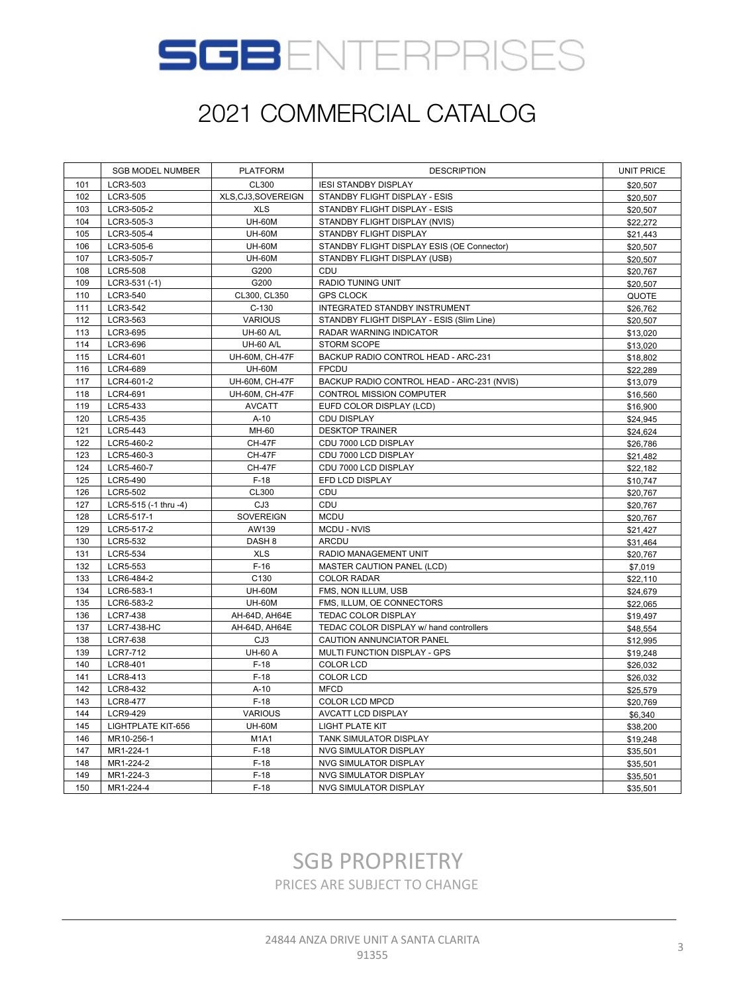

|     | <b>SGB MODEL NUMBER</b> | <b>PLATFORM</b>   | <b>DESCRIPTION</b>                         | <b>UNIT PRICE</b> |
|-----|-------------------------|-------------------|--------------------------------------------|-------------------|
| 101 | LCR3-503                | CL300             | <b>IESI STANDBY DISPLAY</b>                | \$20,507          |
| 102 | LCR3-505                | XLS,CJ3,SOVEREIGN | STANDBY FLIGHT DISPLAY - ESIS              | \$20,507          |
| 103 | LCR3-505-2              | <b>XLS</b>        | STANDBY FLIGHT DISPLAY - ESIS              | \$20,507          |
| 104 | LCR3-505-3              | <b>UH-60M</b>     | STANDBY FLIGHT DISPLAY (NVIS)              | \$22,272          |
| 105 | LCR3-505-4              | <b>UH-60M</b>     | STANDBY FLIGHT DISPLAY                     | \$21,443          |
| 106 | LCR3-505-6              | <b>UH-60M</b>     | STANDBY FLIGHT DISPLAY ESIS (OE Connector) | \$20,507          |
| 107 | LCR3-505-7              | <b>UH-60M</b>     | STANDBY FLIGHT DISPLAY (USB)               | \$20,507          |
| 108 | LCR5-508                | G200              | CDU                                        | \$20,767          |
| 109 | $LCR3-531(-1)$          | G200              | <b>RADIO TUNING UNIT</b>                   | \$20,507          |
| 110 | LCR3-540                | CL300, CL350      | <b>GPS CLOCK</b>                           | QUOTE             |
| 111 | LCR3-542                | $C-130$           | INTEGRATED STANDBY INSTRUMENT              | \$26,762          |
| 112 | LCR3-563                | <b>VARIOUS</b>    | STANDBY FLIGHT DISPLAY - ESIS (Slim Line)  | \$20,507          |
| 113 | LCR3-695                | <b>UH-60 A/L</b>  | <b>RADAR WARNING INDICATOR</b>             | \$13,020          |
| 114 | LCR3-696                | <b>UH-60 A/L</b>  | <b>STORM SCOPE</b>                         | \$13,020          |
| 115 | LCR4-601                | UH-60M, CH-47F    | BACKUP RADIO CONTROL HEAD - ARC-231        | \$18,802          |
| 116 | LCR4-689                | <b>UH-60M</b>     | <b>FPCDU</b>                               | \$22,289          |
| 117 | LCR4-601-2              | UH-60M, CH-47F    | BACKUP RADIO CONTROL HEAD - ARC-231 (NVIS) | \$13,079          |
| 118 | LCR4-691                | UH-60M, CH-47F    | CONTROL MISSION COMPUTER                   | \$16,560          |
| 119 | LCR5-433                | <b>AVCATT</b>     | EUFD COLOR DISPLAY (LCD)                   | \$16,900          |
| 120 | LCR5-435                | $A-10$            | <b>CDU DISPLAY</b>                         | \$24,945          |
| 121 | LCR5-443                | MH-60             | <b>DESKTOP TRAINER</b>                     | \$24,624          |
| 122 | LCR5-460-2              | <b>CH-47F</b>     | CDU 7000 LCD DISPLAY                       | \$26,786          |
| 123 | LCR5-460-3              | <b>CH-47F</b>     | CDU 7000 LCD DISPLAY                       | \$21,482          |
| 124 | LCR5-460-7              | <b>CH-47F</b>     | CDU 7000 LCD DISPLAY                       | \$22,182          |
| 125 | LCR5-490                | $F-18$            | EFD LCD DISPLAY                            | \$10,747          |
| 126 | LCR5-502                | CL300             | CDU                                        | \$20,767          |
| 127 | LCR5-515 (-1 thru -4)   | CJ3               | CDU                                        | \$20,767          |
| 128 | LCR5-517-1              | SOVEREIGN         | <b>MCDU</b>                                | \$20,767          |
| 129 | LCR5-517-2              | AW139             | MCDU - NVIS                                | \$21,427          |
| 130 | LCR5-532                | DASH <sub>8</sub> | ARCDU                                      | \$31,464          |
| 131 | LCR5-534                | <b>XLS</b>        | RADIO MANAGEMENT UNIT                      | \$20,767          |
| 132 | LCR5-553                | $F-16$            | MASTER CAUTION PANEL (LCD)                 | \$7,019           |
| 133 | LCR6-484-2              | C130              | <b>COLOR RADAR</b>                         | \$22,110          |
| 134 | LCR6-583-1              | <b>UH-60M</b>     | FMS, NON ILLUM, USB                        | \$24,679          |
| 135 | LCR6-583-2              | <b>UH-60M</b>     | FMS, ILLUM, OE CONNECTORS                  | \$22,065          |
| 136 | LCR7-438                | AH-64D, AH64E     | TEDAC COLOR DISPLAY                        | \$19,497          |
| 137 | LCR7-438-HC             | AH-64D, AH64E     | TEDAC COLOR DISPLAY w/ hand controllers    | \$48,554          |
| 138 | <b>LCR7-638</b>         | CJ3               | CAUTION ANNUNCIATOR PANEL                  | \$12,995          |
| 139 | LCR7-712                | <b>UH-60 A</b>    | MULTI FUNCTION DISPLAY - GPS               | \$19,248          |
| 140 | LCR8-401                | $F-18$            | <b>COLOR LCD</b>                           | \$26,032          |
| 141 | LCR8-413                | $F-18$            | <b>COLOR LCD</b>                           | \$26,032          |
| 142 | LCR8-432                | $A-10$            | <b>MFCD</b>                                | \$25,579          |
| 143 | <b>LCR8-477</b>         | $F-18$            | COLOR LCD MPCD                             | \$20,769          |
| 144 | LCR9-429                | <b>VARIOUS</b>    | AVCATT LCD DISPLAY                         | \$6,340           |
| 145 | LIGHTPLATE KIT-656      | <b>UH-60M</b>     | LIGHT PLATE KIT                            | \$38,200          |
| 146 | MR10-256-1              | <b>M1A1</b>       | <b>TANK SIMULATOR DISPLAY</b>              | \$19,248          |
| 147 | MR1-224-1               | $F-18$            | <b>NVG SIMULATOR DISPLAY</b>               | \$35,501          |
| 148 | MR1-224-2               | $F-18$            | <b>NVG SIMULATOR DISPLAY</b>               | \$35,501          |
| 149 | MR1-224-3               | $F-18$            | <b>NVG SIMULATOR DISPLAY</b>               | \$35,501          |
| 150 | MR1-224-4               | $F-18$            | <b>NVG SIMULATOR DISPLAY</b>               | \$35,501          |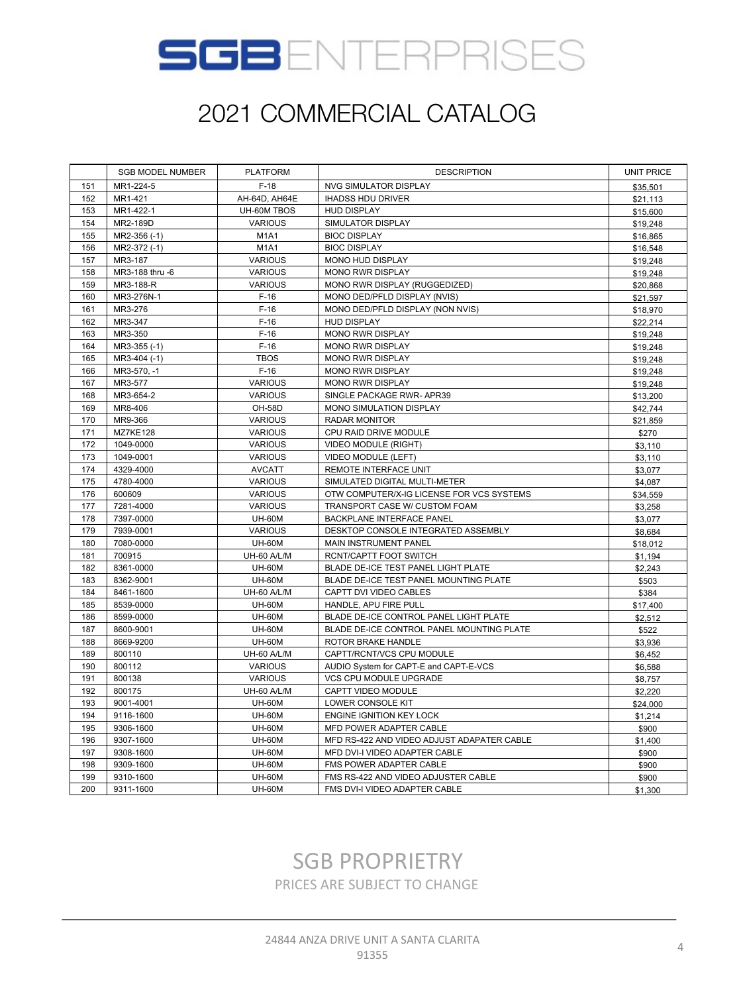

|     | <b>SGB MODEL NUMBER</b> | <b>PLATFORM</b>               | <b>DESCRIPTION</b>                         | <b>UNIT PRICE</b> |
|-----|-------------------------|-------------------------------|--------------------------------------------|-------------------|
| 151 | MR1-224-5               | $F-18$                        | NVG SIMULATOR DISPLAY                      | \$35,501          |
| 152 | MR1-421                 | AH-64D, AH64E                 | <b>IHADSS HDU DRIVER</b>                   | \$21,113          |
| 153 | MR1-422-1               | UH-60M TBOS                   | HUD DISPLAY                                | \$15,600          |
| 154 | MR2-189D                | <b>VARIOUS</b>                | SIMULATOR DISPLAY                          | \$19,248          |
| 155 | MR2-356 (-1)            | <b>M1A1</b>                   | <b>BIOC DISPLAY</b>                        | \$16,865          |
| 156 | MR2-372 (-1)            | M <sub>1</sub> A <sub>1</sub> | <b>BIOC DISPLAY</b>                        | \$16,548          |
| 157 | MR3-187                 | <b>VARIOUS</b>                | <b>MONO HUD DISPLAY</b>                    | \$19,248          |
| 158 | MR3-188 thru -6         | <b>VARIOUS</b>                | <b>MONO RWR DISPLAY</b>                    | \$19,248          |
| 159 | MR3-188-R               | <b>VARIOUS</b>                | MONO RWR DISPLAY (RUGGEDIZED)              | \$20,868          |
| 160 | MR3-276N-1              | $F-16$                        | MONO DED/PFLD DISPLAY (NVIS)               | \$21,597          |
| 161 | MR3-276                 | $F-16$                        | MONO DED/PFLD DISPLAY (NON NVIS)           | \$18,970          |
| 162 | MR3-347                 | $F-16$                        | <b>HUD DISPLAY</b>                         | \$22,214          |
| 163 | MR3-350                 | $F-16$                        | <b>MONO RWR DISPLAY</b>                    | \$19,248          |
| 164 | MR3-355 (-1)            | $F-16$                        | MONO RWR DISPLAY                           | \$19,248          |
| 165 | MR3-404 (-1)            | <b>TBOS</b>                   | <b>MONO RWR DISPLAY</b>                    | \$19,248          |
| 166 | MR3-570, -1             | $F-16$                        | MONO RWR DISPLAY                           | \$19,248          |
| 167 | MR3-577                 | <b>VARIOUS</b>                | <b>MONO RWR DISPLAY</b>                    | \$19,248          |
| 168 | MR3-654-2               | <b>VARIOUS</b>                | SINGLE PACKAGE RWR- APR39                  | \$13,200          |
| 169 | MR8-406                 | <b>OH-58D</b>                 | MONO SIMULATION DISPLAY                    | \$42,744          |
| 170 | MR9-366                 | <b>VARIOUS</b>                | <b>RADAR MONITOR</b>                       | \$21,859          |
| 171 | <b>MZ7KE128</b>         | <b>VARIOUS</b>                | CPU RAID DRIVE MODULE                      | \$270             |
| 172 | 1049-0000               | <b>VARIOUS</b>                | VIDEO MODULE (RIGHT)                       | \$3,110           |
| 173 | 1049-0001               | <b>VARIOUS</b>                | VIDEO MODULE (LEFT)                        | \$3,110           |
| 174 | 4329-4000               | <b>AVCATT</b>                 | REMOTE INTERFACE UNIT                      | \$3,077           |
| 175 | 4780-4000               | <b>VARIOUS</b>                | SIMULATED DIGITAL MULTI-METER              | \$4,087           |
| 176 | 600609                  | <b>VARIOUS</b>                | OTW COMPUTER/X-IG LICENSE FOR VCS SYSTEMS  | \$34,559          |
| 177 | 7281-4000               | <b>VARIOUS</b>                | TRANSPORT CASE W/ CUSTOM FOAM              | \$3,258           |
| 178 | 7397-0000               | <b>UH-60M</b>                 | BACKPLANE INTERFACE PANEL                  | \$3,077           |
| 179 | 7939-0001               | <b>VARIOUS</b>                | DESKTOP CONSOLE INTEGRATED ASSEMBLY        | \$8,684           |
| 180 | 7080-0000               | <b>UH-60M</b>                 | MAIN INSTRUMENT PANEL                      | \$18,012          |
| 181 | 700915                  | UH-60 A/L/M                   | RCNT/CAPTT FOOT SWITCH                     | \$1,194           |
| 182 | 8361-0000               | <b>UH-60M</b>                 | BLADE DE-ICE TEST PANEL LIGHT PLATE        | \$2,243           |
| 183 | 8362-9001               | <b>UH-60M</b>                 | BLADE DE-ICE TEST PANEL MOUNTING PLATE     | \$503             |
| 184 | 8461-1600               | UH-60 A/L/M                   | CAPTT DVI VIDEO CABLES                     | \$384             |
| 185 | 8539-0000               | <b>UH-60M</b>                 | HANDLE, APU FIRE PULL                      | \$17,400          |
| 186 | 8599-0000               | <b>UH-60M</b>                 | BLADE DE-ICE CONTROL PANEL LIGHT PLATE     | \$2,512           |
| 187 | 8600-9001               | <b>UH-60M</b>                 | BLADE DE-ICE CONTROL PANEL MOUNTING PLATE  | \$522             |
| 188 | 8669-9200               | <b>UH-60M</b>                 | ROTOR BRAKE HANDLE                         | \$3,936           |
| 189 | 800110                  | <b>UH-60 A/L/M</b>            | CAPTT/RCNT/VCS CPU MODULE                  | \$6,452           |
| 190 | 800112                  | <b>VARIOUS</b>                | AUDIO System for CAPT-E and CAPT-E-VCS     | \$6,588           |
| 191 | 800138                  | VARIOUS                       | VCS CPU MODULE UPGRADE                     | \$8,757           |
| 192 | 800175                  | UH-60 A/L/M                   | CAPTT VIDEO MODULE                         | \$2,220           |
| 193 | 9001-4001               | <b>UH-60M</b>                 | LOWER CONSOLE KIT                          | \$24,000          |
| 194 | 9116-1600               | <b>UH-60M</b>                 | ENGINE IGNITION KEY LOCK                   | \$1,214           |
| 195 | 9306-1600               | <b>UH-60M</b>                 | MFD POWER ADAPTER CABLE                    | \$900             |
| 196 | 9307-1600               | <b>UH-60M</b>                 | MFD RS-422 AND VIDEO ADJUST ADAPATER CABLE | \$1,400           |
| 197 | 9308-1600               | <b>UH-60M</b>                 | MFD DVI-I VIDEO ADAPTER CABLE              | \$900             |
| 198 | 9309-1600               | <b>UH-60M</b>                 | FMS POWER ADAPTER CABLE                    | \$900             |
| 199 | 9310-1600               | <b>UH-60M</b>                 | FMS RS-422 AND VIDEO ADJUSTER CABLE        | \$900             |
| 200 | 9311-1600               | <b>UH-60M</b>                 | FMS DVI-I VIDEO ADAPTER CABLE              | \$1,300           |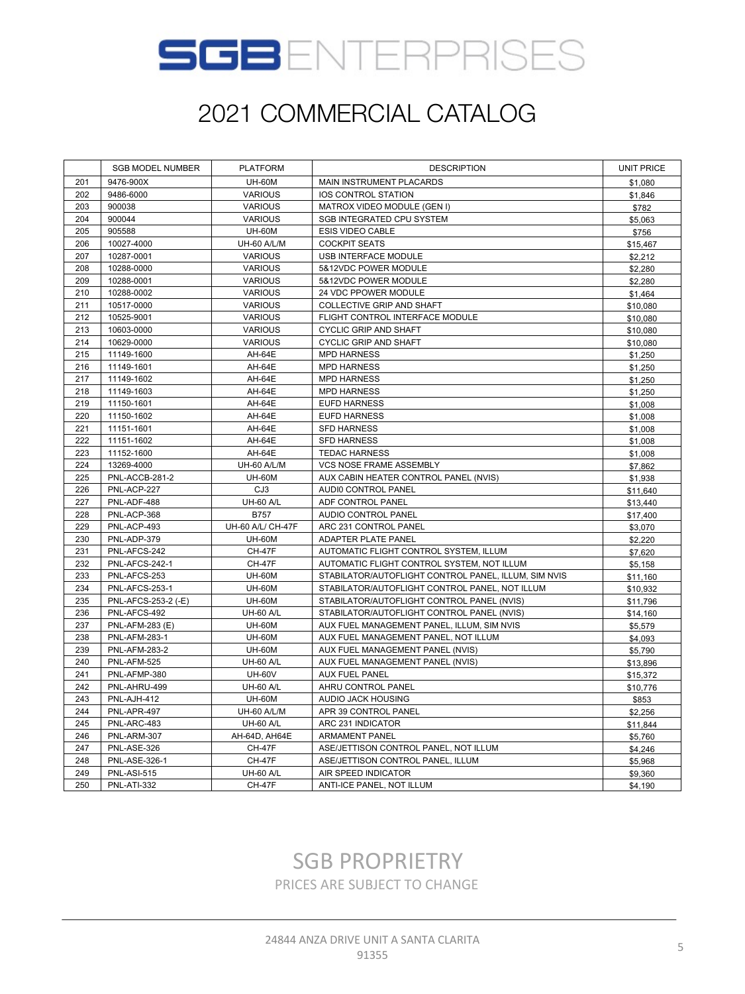

|     | <b>SGB MODEL NUMBER</b> | <b>PLATFORM</b>    | <b>DESCRIPTION</b>                                   | <b>UNIT PRICE</b> |
|-----|-------------------------|--------------------|------------------------------------------------------|-------------------|
| 201 | 9476-900X               | <b>UH-60M</b>      | MAIN INSTRUMENT PLACARDS                             | \$1.080           |
| 202 | 9486-6000               | <b>VARIOUS</b>     | IOS CONTROL STATION                                  | \$1,846           |
| 203 | 900038                  | <b>VARIOUS</b>     | MATROX VIDEO MODULE (GEN I)                          | \$782             |
| 204 | 900044                  | <b>VARIOUS</b>     | SGB INTEGRATED CPU SYSTEM                            | \$5,063           |
| 205 | 905588                  | <b>UH-60M</b>      | ESIS VIDEO CABLE                                     | \$756             |
| 206 | 10027-4000              | UH-60 A/L/M        | <b>COCKPIT SEATS</b>                                 | \$15,467          |
| 207 | 10287-0001              | <b>VARIOUS</b>     | USB INTERFACE MODULE                                 | \$2,212           |
| 208 | 10288-0000              | <b>VARIOUS</b>     | 5&12VDC POWER MODULE                                 | \$2,280           |
| 209 | 10288-0001              | <b>VARIOUS</b>     | 5&12VDC POWER MODULE                                 | \$2,280           |
| 210 | 10288-0002              | <b>VARIOUS</b>     | 24 VDC PPOWER MODULE                                 | \$1,464           |
| 211 | 10517-0000              | <b>VARIOUS</b>     | COLLECTIVE GRIP AND SHAFT                            | \$10,080          |
| 212 | 10525-9001              | <b>VARIOUS</b>     | FLIGHT CONTROL INTERFACE MODULE                      | \$10,080          |
| 213 | 10603-0000              | <b>VARIOUS</b>     | CYCLIC GRIP AND SHAFT                                | \$10,080          |
| 214 | 10629-0000              | <b>VARIOUS</b>     | CYCLIC GRIP AND SHAFT                                | \$10,080          |
| 215 | 11149-1600              | AH-64E             | <b>MPD HARNESS</b>                                   | \$1,250           |
| 216 | 11149-1601              | AH-64E             | <b>MPD HARNESS</b>                                   | \$1,250           |
| 217 | 11149-1602              | AH-64E             | <b>MPD HARNESS</b>                                   | \$1,250           |
| 218 | 11149-1603              | AH-64E             | <b>MPD HARNESS</b>                                   | \$1,250           |
| 219 | 11150-1601              | AH-64E             | <b>EUFD HARNESS</b>                                  | \$1,008           |
| 220 | 11150-1602              | AH-64E             | <b>EUFD HARNESS</b>                                  | \$1,008           |
| 221 | 11151-1601              | AH-64E             | <b>SFD HARNESS</b>                                   | \$1,008           |
| 222 | 11151-1602              | AH-64E             | <b>SFD HARNESS</b>                                   | \$1,008           |
| 223 | 11152-1600              | AH-64E             | <b>TEDAC HARNESS</b>                                 | \$1,008           |
| 224 | 13269-4000              | UH-60 A/L/M        | VCS NOSE FRAME ASSEMBLY                              | \$7,862           |
| 225 | PNL-ACCB-281-2          | <b>UH-60M</b>      | AUX CABIN HEATER CONTROL PANEL (NVIS)                | \$1,938           |
| 226 | PNL-ACP-227             | CJ3                | AUDI0 CONTROL PANEL                                  | \$11,640          |
| 227 | PNL-ADF-488             | <b>UH-60 A/L</b>   | ADF CONTROL PANEL                                    | \$13,440          |
| 228 | PNL-ACP-368             | <b>B757</b>        | AUDIO CONTROL PANEL                                  | \$17,400          |
| 229 | PNL-ACP-493             | UH-60 A/L/ CH-47F  | ARC 231 CONTROL PANEL                                | \$3,070           |
| 230 | PNL-ADP-379             | <b>UH-60M</b>      | ADAPTER PLATE PANEL                                  | \$2,220           |
| 231 | PNL-AFCS-242            | <b>CH-47F</b>      | AUTOMATIC FLIGHT CONTROL SYSTEM, ILLUM               | \$7,620           |
| 232 | PNL-AFCS-242-1          | <b>CH-47F</b>      | AUTOMATIC FLIGHT CONTROL SYSTEM, NOT ILLUM           | \$5,158           |
| 233 | PNL-AFCS-253            | <b>UH-60M</b>      | STABILATOR/AUTOFLIGHT CONTROL PANEL, ILLUM, SIM NVIS | \$11,160          |
| 234 | PNL-AFCS-253-1          | <b>UH-60M</b>      | STABILATOR/AUTOFLIGHT CONTROL PANEL, NOT ILLUM       | \$10,932          |
| 235 | PNL-AFCS-253-2 (-E)     | <b>UH-60M</b>      | STABILATOR/AUTOFLIGHT CONTROL PANEL (NVIS)           | \$11,796          |
| 236 | PNL-AFCS-492            | <b>UH-60 A/L</b>   | STABILATOR/AUTOFLIGHT CONTROL PANEL (NVIS)           | \$14,160          |
| 237 | <b>PNL-AFM-283 (E)</b>  | <b>UH-60M</b>      | AUX FUEL MANAGEMENT PANEL, ILLUM, SIM NVIS           | \$5,579           |
| 238 | <b>PNL-AFM-283-1</b>    | <b>UH-60M</b>      | AUX FUEL MANAGEMENT PANEL, NOT ILLUM                 | \$4,093           |
| 239 | <b>PNL-AFM-283-2</b>    | <b>UH-60M</b>      | AUX FUEL MANAGEMENT PANEL (NVIS)                     | \$5,790           |
| 240 | PNL-AFM-525             | <b>UH-60 A/L</b>   | AUX FUEL MANAGEMENT PANEL (NVIS)                     | \$13,896          |
| 241 | PNL-AFMP-380            | <b>UH-60V</b>      | <b>AUX FUEL PANEL</b>                                | \$15,372          |
| 242 | PNL-AHRU-499            | <b>UH-60 A/L</b>   | AHRU CONTROL PANEL                                   | \$10,776          |
| 243 | PNL-AJH-412             | <b>UH-60M</b>      | AUDIO JACK HOUSING                                   | \$853             |
| 244 | PNL-APR-497             | <b>UH-60 A/L/M</b> | APR 39 CONTROL PANEL                                 | \$2,256           |
| 245 | PNL-ARC-483             | <b>UH-60 A/L</b>   | ARC 231 INDICATOR                                    | \$11,844          |
| 246 | PNL-ARM-307             | AH-64D, AH64E      | <b>ARMAMENT PANEL</b>                                | \$5,760           |
| 247 | PNL-ASE-326             | <b>CH-47F</b>      | ASE/JETTISON CONTROL PANEL, NOT ILLUM                | \$4,246           |
| 248 | <b>PNL-ASE-326-1</b>    | <b>CH-47F</b>      | ASE/JETTISON CONTROL PANEL, ILLUM                    | \$5,968           |
| 249 | <b>PNL-ASI-515</b>      | <b>UH-60 A/L</b>   | AIR SPEED INDICATOR                                  | \$9,360           |
| 250 | <b>PNL-ATI-332</b>      | <b>CH-47F</b>      | ANTI-ICE PANEL, NOT ILLUM                            | \$4,190           |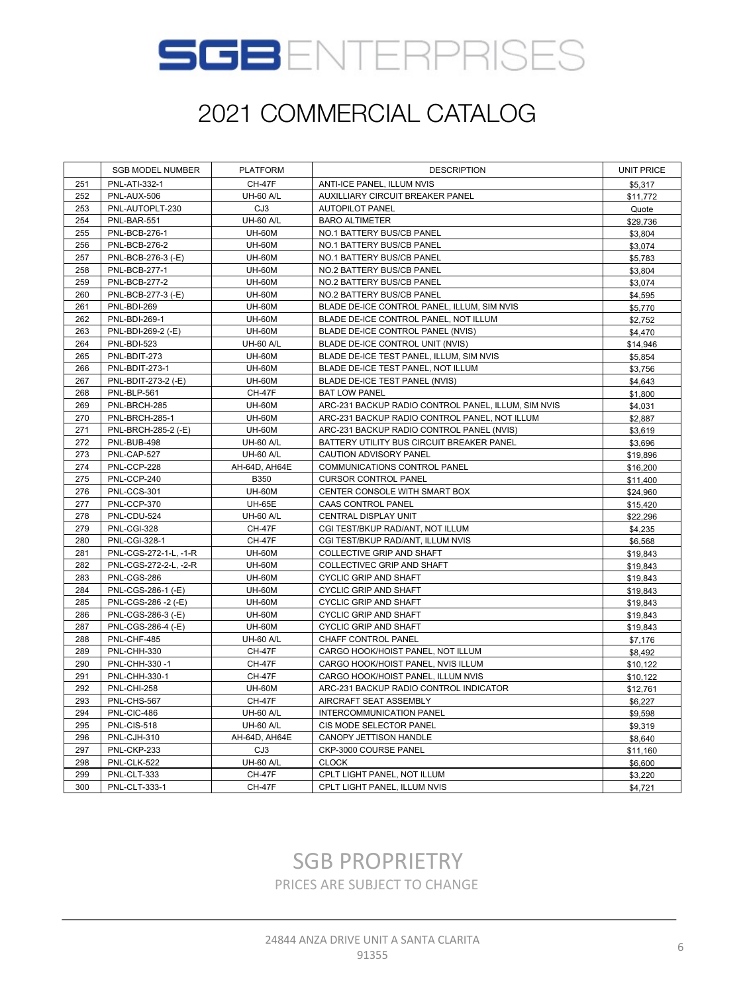

|     | <b>SGB MODEL NUMBER</b> | <b>PLATFORM</b>  | <b>DESCRIPTION</b>                                  | <b>UNIT PRICE</b> |
|-----|-------------------------|------------------|-----------------------------------------------------|-------------------|
| 251 | PNL-ATI-332-1           | <b>CH-47F</b>    | ANTI-ICE PANEL, ILLUM NVIS                          | \$5,317           |
| 252 | PNL-AUX-506             | <b>UH-60 A/L</b> | AUXILLIARY CIRCUIT BREAKER PANEL                    | \$11,772          |
| 253 | PNL-AUTOPLT-230         | CJ3              | AUTOPILOT PANEL                                     | Quote             |
| 254 | PNL-BAR-551             | <b>UH-60 A/L</b> | <b>BARO ALTIMETER</b>                               | \$29,736          |
| 255 | <b>PNL-BCB-276-1</b>    | <b>UH-60M</b>    | NO.1 BATTERY BUS/CB PANEL                           | \$3,804           |
| 256 | <b>PNL-BCB-276-2</b>    | <b>UH-60M</b>    | NO.1 BATTERY BUS/CB PANEL                           | \$3,074           |
| 257 | PNL-BCB-276-3 (-E)      | <b>UH-60M</b>    | NO.1 BATTERY BUS/CB PANEL                           | \$5,783           |
| 258 | <b>PNL-BCB-277-1</b>    | <b>UH-60M</b>    | NO.2 BATTERY BUS/CB PANEL                           | \$3,804           |
| 259 | <b>PNL-BCB-277-2</b>    | <b>UH-60M</b>    | NO.2 BATTERY BUS/CB PANEL                           | \$3,074           |
| 260 | PNL-BCB-277-3 (-E)      | <b>UH-60M</b>    | NO.2 BATTERY BUS/CB PANEL                           | \$4,595           |
| 261 | PNL-BDI-269             | <b>UH-60M</b>    | BLADE DE-ICE CONTROL PANEL, ILLUM, SIM NVIS         | \$5,770           |
| 262 | PNL-BDI-269-1           | <b>UH-60M</b>    | BLADE DE-ICE CONTROL PANEL, NOT ILLUM               | \$2,752           |
| 263 | PNL-BDI-269-2 (-E)      | <b>UH-60M</b>    | BLADE DE-ICE CONTROL PANEL (NVIS)                   | \$4,470           |
| 264 | PNL-BDI-523             | <b>UH-60 A/L</b> | BLADE DE-ICE CONTROL UNIT (NVIS)                    | \$14,946          |
| 265 | PNL-BDIT-273            | <b>UH-60M</b>    | BLADE DE-ICE TEST PANEL, ILLUM, SIM NVIS            | \$5,854           |
| 266 | PNL-BDIT-273-1          | <b>UH-60M</b>    | BLADE DE-ICE TEST PANEL, NOT ILLUM                  | \$3,756           |
| 267 | PNL-BDIT-273-2 (-E)     | <b>UH-60M</b>    | BLADE DE-ICE TEST PANEL (NVIS)                      | \$4,643           |
| 268 | PNL-BLP-561             | <b>CH-47F</b>    | <b>BAT LOW PANEL</b>                                | \$1,800           |
| 269 | PNL-BRCH-285            | <b>UH-60M</b>    | ARC-231 BACKUP RADIO CONTROL PANEL, ILLUM, SIM NVIS | \$4,031           |
| 270 | PNL-BRCH-285-1          | <b>UH-60M</b>    | ARC-231 BACKUP RADIO CONTROL PANEL, NOT ILLUM       | \$2,887           |
| 271 | PNL-BRCH-285-2 (-E)     | <b>UH-60M</b>    | ARC-231 BACKUP RADIO CONTROL PANEL (NVIS)           | \$3,619           |
| 272 | PNL-BUB-498             | <b>UH-60 A/L</b> | BATTERY UTILITY BUS CIRCUIT BREAKER PANEL           | \$3,696           |
| 273 | PNL-CAP-527             | <b>UH-60 A/L</b> | CAUTION ADVISORY PANEL                              | \$19,896          |
| 274 | PNL-CCP-228             | AH-64D, AH64E    | COMMUNICATIONS CONTROL PANEL                        | \$16,200          |
| 275 | PNL-CCP-240             | B350             | <b>CURSOR CONTROL PANEL</b>                         | \$11,400          |
| 276 | PNL-CCS-301             | <b>UH-60M</b>    | CENTER CONSOLE WITH SMART BOX                       | \$24,960          |
| 277 | PNL-CCP-370             | <b>UH-65E</b>    | CAAS CONTROL PANEL                                  | \$15,420          |
| 278 | PNL-CDU-524             | <b>UH-60 A/L</b> | CENTRAL DISPLAY UNIT                                | \$22,296          |
| 279 | PNL-CGI-328             | CH-47F           | CGI TEST/BKUP RAD/ANT, NOT ILLUM                    | \$4,235           |
| 280 | <b>PNL-CGI-328-1</b>    | <b>CH-47F</b>    | CGI TEST/BKUP RAD/ANT, ILLUM NVIS                   | \$6,568           |
| 281 | PNL-CGS-272-1-L, -1-R   | <b>UH-60M</b>    | COLLECTIVE GRIP AND SHAFT                           | \$19,843          |
| 282 | PNL-CGS-272-2-L, -2-R   | <b>UH-60M</b>    | COLLECTIVEC GRIP AND SHAFT                          | \$19,843          |
| 283 | PNL-CGS-286             | <b>UH-60M</b>    | CYCLIC GRIP AND SHAFT                               | \$19,843          |
| 284 | PNL-CGS-286-1 (-E)      | <b>UH-60M</b>    | <b>CYCLIC GRIP AND SHAFT</b>                        | \$19,843          |
| 285 | PNL-CGS-286 -2 (-E)     | <b>UH-60M</b>    | CYCLIC GRIP AND SHAFT                               | \$19,843          |
| 286 | PNL-CGS-286-3 (-E)      | <b>UH-60M</b>    | CYCLIC GRIP AND SHAFT                               | \$19,843          |
| 287 | PNL-CGS-286-4 (-E)      | <b>UH-60M</b>    | CYCLIC GRIP AND SHAFT                               | \$19,843          |
| 288 | PNL-CHF-485             | <b>UH-60 A/L</b> | CHAFF CONTROL PANEL                                 | \$7,176           |
| 289 | PNL-CHH-330             | <b>CH-47F</b>    | CARGO HOOK/HOIST PANEL, NOT ILLUM                   | \$8,492           |
| 290 | PNL-CHH-330-1           | <b>CH-47F</b>    | CARGO HOOK/HOIST PANEL, NVIS ILLUM                  | \$10,122          |
| 291 | PNL-CHH-330-1           | <b>CH-47F</b>    | CARGO HOOK/HOIST PANEL, ILLUM NVIS                  | \$10,122          |
| 292 | <b>PNL-CHI-258</b>      | <b>UH-60M</b>    | ARC-231 BACKUP RADIO CONTROL INDICATOR              | \$12,761          |
| 293 | PNL-CHS-567             | <b>CH-47F</b>    | AIRCRAFT SEAT ASSEMBLY                              | \$6,227           |
| 294 | PNL-CIC-486             | <b>UH-60 A/L</b> | INTERCOMMUNICATION PANEL                            | \$9,598           |
| 295 | PNL-CIS-518             | <b>UH-60 A/L</b> | CIS MODE SELECTOR PANEL                             | \$9,319           |
| 296 | PNL-CJH-310             | AH-64D, AH64E    | CANOPY JETTISON HANDLE                              | \$8,640           |
| 297 | PNL-CKP-233             | CJ3              | CKP-3000 COURSE PANEL                               | \$11,160          |
| 298 | PNL-CLK-522             | <b>UH-60 A/L</b> | <b>CLOCK</b>                                        | \$6,600           |
| 299 | PNL-CLT-333             | <b>CH-47F</b>    | CPLT LIGHT PANEL, NOT ILLUM                         | \$3,220           |
| 300 | PNL-CLT-333-1           | <b>CH-47F</b>    | CPLT LIGHT PANEL, ILLUM NVIS                        | \$4,721           |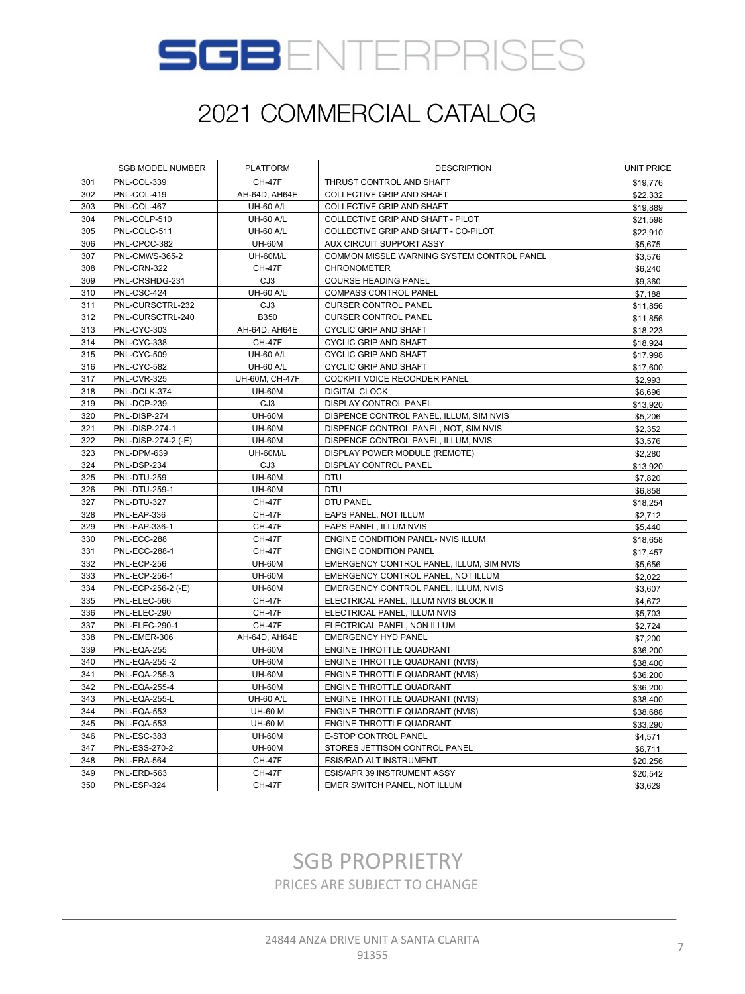

|     | <b>SGB MODEL NUMBER</b> | <b>PLATFORM</b>  | <b>DESCRIPTION</b>                         | <b>UNIT PRICE</b> |
|-----|-------------------------|------------------|--------------------------------------------|-------------------|
| 301 | PNL-COL-339             | <b>CH-47F</b>    | THRUST CONTROL AND SHAFT                   | \$19,776          |
| 302 | PNL-COL-419             | AH-64D, AH64E    | COLLECTIVE GRIP AND SHAFT                  | \$22,332          |
| 303 | PNL-COL-467             | <b>UH-60 A/L</b> | COLLECTIVE GRIP AND SHAFT                  | \$19,889          |
| 304 | PNL-COLP-510            | <b>UH-60 A/L</b> | COLLECTIVE GRIP AND SHAFT - PILOT          | \$21,598          |
| 305 | PNL-COLC-511            | <b>UH-60 A/L</b> | COLLECTIVE GRIP AND SHAFT - CO-PILOT       | \$22,910          |
| 306 | PNL-CPCC-382            | <b>UH-60M</b>    | AUX CIRCUIT SUPPORT ASSY                   | \$5,675           |
| 307 | PNL-CMWS-365-2          | UH-60M/L         | COMMON MISSLE WARNING SYSTEM CONTROL PANEL | \$3,576           |
| 308 | PNL-CRN-322             | <b>CH-47F</b>    | <b>CHRONOMETER</b>                         | \$6,240           |
| 309 | PNL-CRSHDG-231          | CJ3              | <b>COURSE HEADING PANEL</b>                | \$9,360           |
| 310 | PNL-CSC-424             | <b>UH-60 A/L</b> | COMPASS CONTROL PANEL                      | \$7,188           |
| 311 | PNL-CURSCTRL-232        | CJ3              | <b>CURSER CONTROL PANEL</b>                | \$11,856          |
| 312 | PNL-CURSCTRL-240        | B350             | <b>CURSER CONTROL PANEL</b>                | \$11,856          |
| 313 | PNL-CYC-303             | AH-64D, AH64E    | <b>CYCLIC GRIP AND SHAFT</b>               | \$18,223          |
| 314 | PNL-CYC-338             | <b>CH-47F</b>    | <b>CYCLIC GRIP AND SHAFT</b>               | \$18,924          |
| 315 | PNL-CYC-509             | <b>UH-60 A/L</b> | <b>CYCLIC GRIP AND SHAFT</b>               | \$17,998          |
| 316 | PNL-CYC-582             | <b>UH-60 A/L</b> | CYCLIC GRIP AND SHAFT                      | \$17,600          |
| 317 | PNL-CVR-325             | UH-60M, CH-47F   | COCKPIT VOICE RECORDER PANEL               | \$2,993           |
| 318 | PNL-DCLK-374            | <b>UH-60M</b>    | <b>DIGITAL CLOCK</b>                       | \$6,696           |
| 319 | PNL-DCP-239             | CJ3              | DISPLAY CONTROL PANEL                      | \$13,920          |
| 320 | PNL-DISP-274            | <b>UH-60M</b>    | DISPENCE CONTROL PANEL, ILLUM, SIM NVIS    | \$5,206           |
| 321 | <b>PNL-DISP-274-1</b>   | <b>UH-60M</b>    | DISPENCE CONTROL PANEL, NOT, SIM NVIS      | \$2,352           |
| 322 | PNL-DISP-274-2 (-E)     | <b>UH-60M</b>    | DISPENCE CONTROL PANEL, ILLUM, NVIS        | \$3,576           |
| 323 | PNL-DPM-639             | UH-60M/L         | DISPLAY POWER MODULE (REMOTE)              | \$2,280           |
| 324 | PNL-DSP-234             | CJ3              | <b>DISPLAY CONTROL PANEL</b>               | \$13,920          |
| 325 | PNL-DTU-259             | <b>UH-60M</b>    | <b>DTU</b>                                 | \$7,820           |
| 326 | PNL-DTU-259-1           | <b>UH-60M</b>    | <b>DTU</b>                                 | \$6,858           |
| 327 | PNL-DTU-327             | <b>CH-47F</b>    | <b>DTU PANEL</b>                           | \$18,254          |
| 328 | PNL-EAP-336             | <b>CH-47F</b>    | EAPS PANEL, NOT ILLUM                      | \$2,712           |
| 329 | PNL-EAP-336-1           | <b>CH-47F</b>    | EAPS PANEL, ILLUM NVIS                     | \$5,440           |
| 330 | PNL-ECC-288             | <b>CH-47F</b>    | ENGINE CONDITION PANEL- NVIS ILLUM         | \$18,658          |
| 331 | <b>PNL-ECC-288-1</b>    | <b>CH-47F</b>    | ENGINE CONDITION PANEL                     | \$17,457          |
| 332 | PNL-ECP-256             | <b>UH-60M</b>    | EMERGENCY CONTROL PANEL, ILLUM, SIM NVIS   | \$5,656           |
| 333 | <b>PNL-ECP-256-1</b>    | <b>UH-60M</b>    | EMERGENCY CONTROL PANEL, NOT ILLUM         | \$2,022           |
| 334 | PNL-ECP-256-2 (-E)      | <b>UH-60M</b>    | EMERGENCY CONTROL PANEL, ILLUM, NVIS       | \$3,607           |
| 335 | PNL-ELEC-566            | <b>CH-47F</b>    | ELECTRICAL PANEL, ILLUM NVIS BLOCK II      | \$4,672           |
| 336 | PNL-ELEC-290            | <b>CH-47F</b>    | ELECTRICAL PANEL, ILLUM NVIS               | \$5,703           |
| 337 | PNL-ELEC-290-1          | <b>CH-47F</b>    | ELECTRICAL PANEL, NON ILLUM                | \$2,724           |
| 338 | PNL-EMER-306            | AH-64D, AH64E    | <b>EMERGENCY HYD PANEL</b>                 | \$7,200           |
| 339 | PNL-EQA-255             | <b>UH-60M</b>    | ENGINE THROTTLE QUADRANT                   | \$36,200          |
| 340 | PNL-EQA-255-2           | <b>UH-60M</b>    | ENGINE THROTTLE QUADRANT (NVIS)            | \$38,400          |
| 341 | <b>PNL-EQA-255-3</b>    | <b>UH-60M</b>    | ENGINE THROTTLE QUADRANT (NVIS)            | \$36,200          |
| 342 | <b>PNL-EQA-255-4</b>    | <b>UH-60M</b>    | ENGINE THROTTLE QUADRANT                   | \$36,200          |
| 343 | PNL-EQA-255-L           | <b>UH-60 A/L</b> | ENGINE THROTTLE QUADRANT (NVIS)            | \$38,400          |
| 344 | PNL-EQA-553             | <b>UH-60 M</b>   | ENGINE THROTTLE QUADRANT (NVIS)            | \$38,688          |
| 345 | PNL-EQA-553             | <b>UH-60 M</b>   | ENGINE THROTTLE QUADRANT                   | \$33,290          |
| 346 | PNL-ESC-383             | <b>UH-60M</b>    | E-STOP CONTROL PANEL                       | \$4,571           |
| 347 | <b>PNL-ESS-270-2</b>    | <b>UH-60M</b>    | STORES JETTISON CONTROL PANEL              | \$6,711           |
| 348 | PNL-ERA-564             | <b>CH-47F</b>    | ESIS/RAD ALT INSTRUMENT                    | \$20,256          |
| 349 | PNL-ERD-563             | <b>CH-47F</b>    | ESIS/APR 39 INSTRUMENT ASSY                | \$20,542          |
| 350 | PNL-ESP-324             | <b>CH-47F</b>    | EMER SWITCH PANEL, NOT ILLUM               | \$3,629           |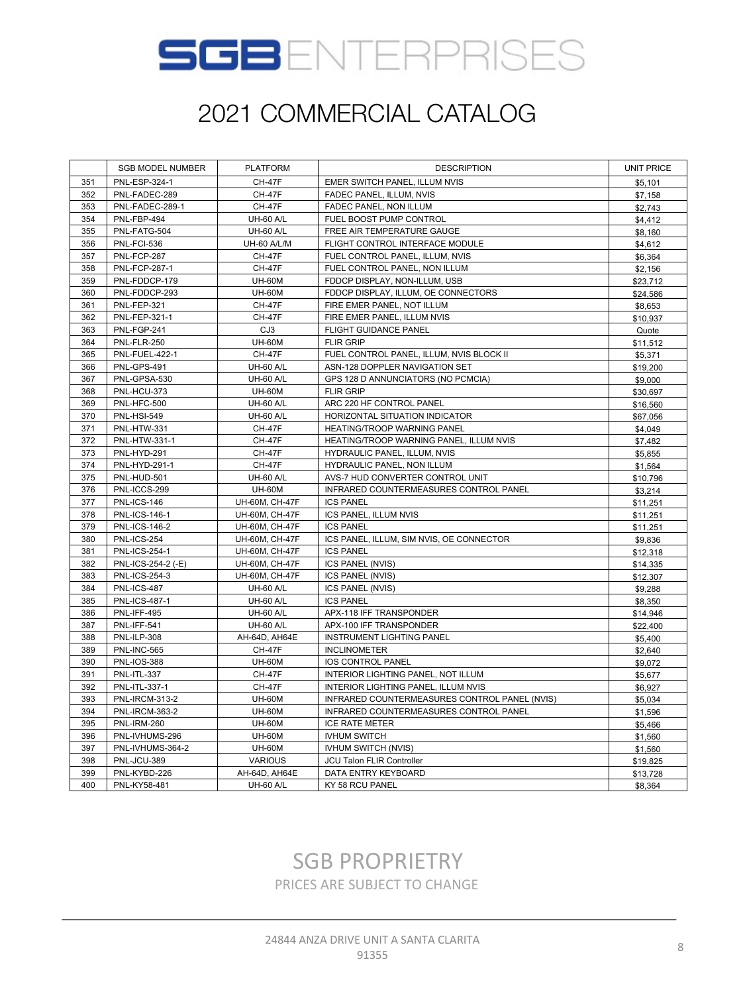

|     | <b>SGB MODEL NUMBER</b> | <b>PLATFORM</b>    | <b>DESCRIPTION</b>                            | <b>UNIT PRICE</b> |
|-----|-------------------------|--------------------|-----------------------------------------------|-------------------|
| 351 | PNL-ESP-324-1           | <b>CH-47F</b>      | EMER SWITCH PANEL, ILLUM NVIS                 | \$5,101           |
| 352 | PNL-FADEC-289           | <b>CH-47F</b>      | FADEC PANEL, ILLUM, NVIS                      | \$7,158           |
| 353 | PNL-FADEC-289-1         | <b>CH-47F</b>      | FADEC PANEL, NON ILLUM                        | \$2,743           |
| 354 | PNL-FBP-494             | <b>UH-60 A/L</b>   | FUEL BOOST PUMP CONTROL                       | \$4,412           |
| 355 | PNL-FATG-504            | <b>UH-60 A/L</b>   | FREE AIR TEMPERATURE GAUGE                    | \$8,160           |
| 356 | <b>PNL-FCI-536</b>      | <b>UH-60 A/L/M</b> | FLIGHT CONTROL INTERFACE MODULE               | \$4,612           |
| 357 | PNL-FCP-287             | <b>CH-47F</b>      | FUEL CONTROL PANEL, ILLUM, NVIS               | \$6,364           |
| 358 | <b>PNL-FCP-287-1</b>    | <b>CH-47F</b>      | FUEL CONTROL PANEL, NON ILLUM                 | \$2,156           |
| 359 | PNL-FDDCP-179           | <b>UH-60M</b>      | FDDCP DISPLAY, NON-ILLUM, USB                 | \$23,712          |
| 360 | PNL-FDDCP-293           | <b>UH-60M</b>      | FDDCP DISPLAY, ILLUM, OE CONNECTORS           | \$24,586          |
| 361 | PNL-FEP-321             | <b>CH-47F</b>      | FIRE EMER PANEL, NOT ILLUM                    | \$8,653           |
| 362 | PNL-FEP-321-1           | <b>CH-47F</b>      | FIRE EMER PANEL, ILLUM NVIS                   | \$10,937          |
| 363 | PNL-FGP-241             | CJ3                | FLIGHT GUIDANCE PANEL                         | Quote             |
| 364 | PNL-FLR-250             | <b>UH-60M</b>      | <b>FLIR GRIP</b>                              | \$11,512          |
| 365 | PNL-FUEL-422-1          | <b>CH-47F</b>      | FUEL CONTROL PANEL, ILLUM, NVIS BLOCK II      | \$5,371           |
| 366 | PNL-GPS-491             | <b>UH-60 A/L</b>   | ASN-128 DOPPLER NAVIGATION SET                | \$19,200          |
| 367 | PNL-GPSA-530            | <b>UH-60 A/L</b>   | GPS 128 D ANNUNCIATORS (NO PCMCIA)            | \$9,000           |
| 368 | PNL-HCU-373             | <b>UH-60M</b>      | <b>FLIR GRIP</b>                              | \$30,697          |
| 369 | PNL-HFC-500             | <b>UH-60 A/L</b>   | ARC 220 HF CONTROL PANEL                      | \$16,560          |
| 370 | <b>PNL-HSI-549</b>      | <b>UH-60 A/L</b>   | HORIZONTAL SITUATION INDICATOR                | \$67,056          |
| 371 | PNL-HTW-331             | <b>CH-47F</b>      | HEATING/TROOP WARNING PANEL                   | \$4,049           |
| 372 | PNL-HTW-331-1           | <b>CH-47F</b>      | HEATING/TROOP WARNING PANEL, ILLUM NVIS       | \$7,482           |
| 373 | PNL-HYD-291             | <b>CH-47F</b>      | HYDRAULIC PANEL, ILLUM, NVIS                  | \$5,855           |
| 374 | PNL-HYD-291-1           | <b>CH-47F</b>      | HYDRAULIC PANEL, NON ILLUM                    | \$1,564           |
| 375 | PNL-HUD-501             | <b>UH-60 A/L</b>   | AVS-7 HUD CONVERTER CONTROL UNIT              | \$10,796          |
| 376 | PNL-ICCS-299            | <b>UH-60M</b>      | INFRARED COUNTERMEASURES CONTROL PANEL        | \$3,214           |
| 377 | <b>PNL-ICS-146</b>      | UH-60M, CH-47F     | <b>ICS PANEL</b>                              | \$11,251          |
| 378 | <b>PNL-ICS-146-1</b>    | UH-60M, CH-47F     | ICS PANEL, ILLUM NVIS                         | \$11,251          |
| 379 | <b>PNL-ICS-146-2</b>    | UH-60M, CH-47F     | <b>ICS PANEL</b>                              | \$11,251          |
| 380 | PNL-ICS-254             | UH-60M, CH-47F     | ICS PANEL, ILLUM, SIM NVIS, OE CONNECTOR      | \$9,836           |
| 381 | <b>PNL-ICS-254-1</b>    | UH-60M, CH-47F     | <b>ICS PANEL</b>                              | \$12,318          |
| 382 | PNL-ICS-254-2 (-E)      | UH-60M, CH-47F     | ICS PANEL (NVIS)                              | \$14,335          |
| 383 | <b>PNL-ICS-254-3</b>    | UH-60M, CH-47F     | ICS PANEL (NVIS)                              | \$12,307          |
| 384 | PNL-ICS-487             | <b>UH-60 A/L</b>   | ICS PANEL (NVIS)                              | \$9,288           |
| 385 | <b>PNL-ICS-487-1</b>    | <b>UH-60 A/L</b>   | <b>ICS PANEL</b>                              | \$8,350           |
| 386 | PNL-IFF-495             | <b>UH-60 A/L</b>   | APX-118 IFF TRANSPONDER                       | \$14,946          |
| 387 | PNL-IFF-541             | <b>UH-60 A/L</b>   | APX-100 IFF TRANSPONDER                       | \$22,400          |
| 388 | PNL-ILP-308             | AH-64D, AH64E      | <b>INSTRUMENT LIGHTING PANEL</b>              | \$5,400           |
| 389 | PNL-INC-565             | <b>CH-47F</b>      | <b>INCLINOMETER</b>                           | \$2,640           |
| 390 | <b>PNL-IOS-388</b>      | <b>UH-60M</b>      | IOS CONTROL PANEL                             | \$9,072           |
| 391 | PNL-ITL-337             | <b>CH-47F</b>      | INTERIOR LIGHTING PANEL, NOT ILLUM            | \$5,677           |
| 392 | PNL-ITL-337-1           | <b>CH-47F</b>      | INTERIOR LIGHTING PANEL, ILLUM NVIS           | \$6,927           |
| 393 | <b>PNL-IRCM-313-2</b>   | <b>UH-60M</b>      | INFRARED COUNTERMEASURES CONTROL PANEL (NVIS) | \$5,034           |
| 394 | <b>PNL-IRCM-363-2</b>   | <b>UH-60M</b>      | INFRARED COUNTERMEASURES CONTROL PANEL        | \$1,596           |
| 395 | <b>PNL-IRM-260</b>      | <b>UH-60M</b>      | <b>ICE RATE METER</b>                         | \$5,466           |
| 396 | PNL-IVHUMS-296          | <b>UH-60M</b>      | <b>IVHUM SWITCH</b>                           | \$1,560           |
| 397 | PNL-IVHUMS-364-2        | <b>UH-60M</b>      | IVHUM SWITCH (NVIS)                           | \$1,560           |
| 398 | PNL-JCU-389             | <b>VARIOUS</b>     | JCU Talon FLIR Controller                     | \$19,825          |
| 399 | PNL-KYBD-226            | AH-64D, AH64E      | DATA ENTRY KEYBOARD                           | \$13,728          |
| 400 | PNL-KY58-481            | <b>UH-60 A/L</b>   | KY 58 RCU PANEL                               | \$8,364           |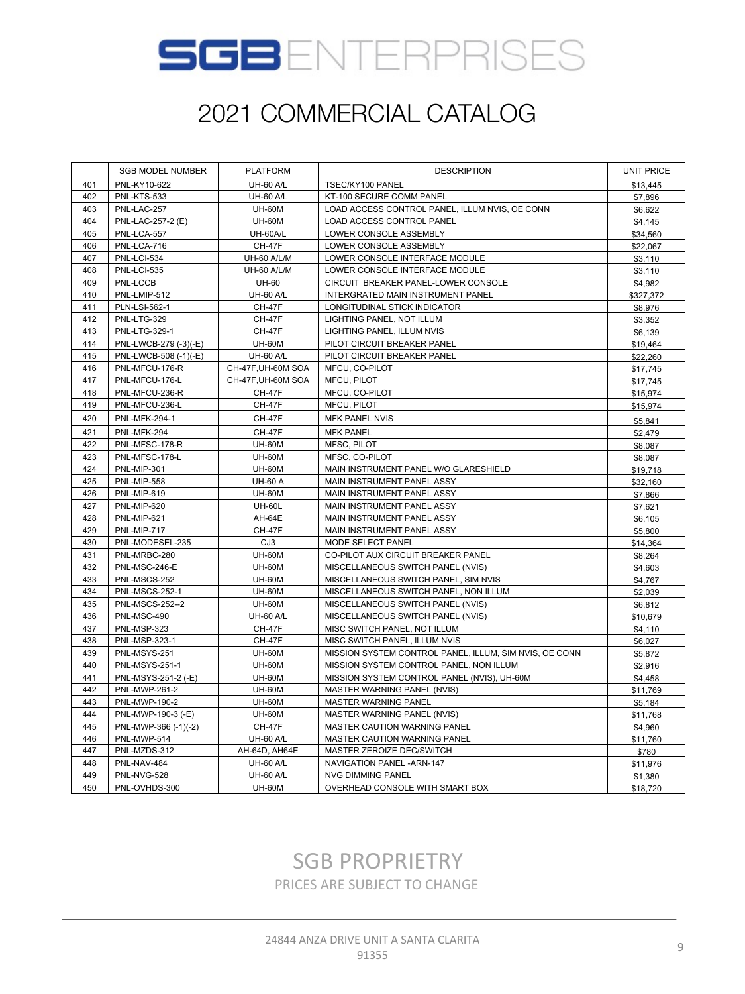

|     | <b>SGB MODEL NUMBER</b> | <b>PLATFORM</b>    | <b>DESCRIPTION</b>                                     | <b>UNIT PRICE</b> |
|-----|-------------------------|--------------------|--------------------------------------------------------|-------------------|
| 401 | PNL-KY10-622            | <b>UH-60 A/L</b>   | TSEC/KY100 PANEL                                       | \$13,445          |
| 402 | PNL-KTS-533             | <b>UH-60 A/L</b>   | KT-100 SECURE COMM PANEL                               | \$7,896           |
| 403 | PNL-LAC-257             | <b>UH-60M</b>      | LOAD ACCESS CONTROL PANEL, ILLUM NVIS, OE CONN         | \$6,622           |
| 404 | PNL-LAC-257-2 (E)       | <b>UH-60M</b>      | LOAD ACCESS CONTROL PANEL                              | \$4,145           |
| 405 | PNL-LCA-557             | UH-60A/L           | LOWER CONSOLE ASSEMBLY                                 | \$34,560          |
| 406 | PNL-LCA-716             | <b>CH-47F</b>      | LOWER CONSOLE ASSEMBLY                                 | \$22,067          |
| 407 | PNL-LCI-534             | UH-60 A/L/M        | LOWER CONSOLE INTERFACE MODULE                         | \$3,110           |
| 408 | <b>PNL-LCI-535</b>      | UH-60 A/L/M        | LOWER CONSOLE INTERFACE MODULE                         | \$3,110           |
| 409 | PNL-LCCB                | <b>UH-60</b>       | CIRCUIT BREAKER PANEL-LOWER CONSOLE                    | \$4,982           |
| 410 | PNL-LMIP-512            | <b>UH-60 A/L</b>   | INTERGRATED MAIN INSTRUMENT PANEL                      | \$327,372         |
| 411 | PLN-LSI-562-1           | <b>CH-47F</b>      | LONGITUDINAL STICK INDICATOR                           | \$8,976           |
| 412 | PNL-LTG-329             | <b>CH-47F</b>      | LIGHTING PANEL, NOT ILLUM                              | \$3,352           |
| 413 | PNL-LTG-329-1           | <b>CH-47F</b>      | LIGHTING PANEL, ILLUM NVIS                             | \$6,139           |
| 414 | PNL-LWCB-279 (-3)(-E)   | <b>UH-60M</b>      | PILOT CIRCUIT BREAKER PANEL                            | \$19,464          |
| 415 | PNL-LWCB-508 (-1)(-E)   | <b>UH-60 A/L</b>   | PILOT CIRCUIT BREAKER PANEL                            | \$22,260          |
| 416 | PNL-MFCU-176-R          | CH-47F, UH-60M SOA | MFCU, CO-PILOT                                         | \$17,745          |
| 417 | PNL-MFCU-176-L          | CH-47F, UH-60M SOA | MFCU, PILOT                                            | \$17,745          |
| 418 | PNL-MFCU-236-R          | <b>CH-47F</b>      | MFCU, CO-PILOT                                         | \$15,974          |
| 419 | PNL-MFCU-236-L          | CH-47F             | MFCU, PILOT                                            | \$15,974          |
| 420 | <b>PNL-MFK-294-1</b>    | <b>CH-47F</b>      | <b>MFK PANEL NVIS</b>                                  | \$5,841           |
| 421 | PNL-MFK-294             | <b>CH-47F</b>      | <b>MFK PANEL</b>                                       | \$2,479           |
| 422 | PNL-MFSC-178-R          | <b>UH-60M</b>      | MFSC, PILOT                                            | \$8,087           |
| 423 | PNL-MFSC-178-L          | <b>UH-60M</b>      | MFSC, CO-PILOT                                         | \$8,087           |
| 424 | PNL-MIP-301             | <b>UH-60M</b>      | MAIN INSTRUMENT PANEL W/O GLARESHIELD                  | \$19,718          |
| 425 | PNL-MIP-558             | <b>UH-60 A</b>     | MAIN INSTRUMENT PANEL ASSY                             | \$32,160          |
| 426 | PNL-MIP-619             | <b>UH-60M</b>      | MAIN INSTRUMENT PANEL ASSY                             | \$7,866           |
| 427 | PNL-MIP-620             | <b>UH-60L</b>      | MAIN INSTRUMENT PANEL ASSY                             | \$7,621           |
| 428 | PNL-MIP-621             | AH-64E             | MAIN INSTRUMENT PANEL ASSY                             | \$6,105           |
| 429 | PNL-MIP-717             | <b>CH-47F</b>      | MAIN INSTRUMENT PANEL ASSY                             | \$5,800           |
| 430 | PNL-MODESEL-235         | CJ3                | MODE SELECT PANEL                                      | \$14,364          |
| 431 | PNL-MRBC-280            | <b>UH-60M</b>      | CO-PILOT AUX CIRCUIT BREAKER PANEL                     | \$8,264           |
| 432 | PNL-MSC-246-E           | <b>UH-60M</b>      | MISCELLANEOUS SWITCH PANEL (NVIS)                      | \$4,603           |
| 433 | PNL-MSCS-252            | <b>UH-60M</b>      | MISCELLANEOUS SWITCH PANEL, SIM NVIS                   | \$4,767           |
| 434 | <b>PNL-MSCS-252-1</b>   | <b>UH-60M</b>      | MISCELLANEOUS SWITCH PANEL, NON ILLUM                  | \$2,039           |
| 435 | <b>PNL-MSCS-252--2</b>  | <b>UH-60M</b>      | MISCELLANEOUS SWITCH PANEL (NVIS)                      | \$6,812           |
| 436 | PNL-MSC-490             | <b>UH-60 A/L</b>   | MISCELLANEOUS SWITCH PANEL (NVIS)                      | \$10,679          |
| 437 | PNL-MSP-323             | <b>CH-47F</b>      | MISC SWITCH PANEL, NOT ILLUM                           | \$4,110           |
| 438 | PNL-MSP-323-1           | <b>CH-47F</b>      | MISC SWITCH PANEL, ILLUM NVIS                          | \$6,027           |
| 439 | PNL-MSYS-251            | <b>UH-60M</b>      | MISSION SYSTEM CONTROL PANEL, ILLUM, SIM NVIS, OE CONN | \$5,872           |
| 440 | <b>PNL-MSYS-251-1</b>   | <b>UH-60M</b>      | MISSION SYSTEM CONTROL PANEL, NON ILLUM                | \$2,916           |
| 441 | PNL-MSYS-251-2 (-E)     | <b>UH-60M</b>      | MISSION SYSTEM CONTROL PANEL (NVIS), UH-60M            | \$4,458           |
| 442 | PNL-MWP-261-2           | <b>UH-60M</b>      | MASTER WARNING PANEL (NVIS)                            | \$11,769          |
| 443 | PNL-MWP-190-2           | <b>UH-60M</b>      | <b>MASTER WARNING PANEL</b>                            | \$5,184           |
| 444 | PNL-MWP-190-3 (-E)      | <b>UH-60M</b>      | MASTER WARNING PANEL (NVIS)                            | \$11,768          |
| 445 | PNL-MWP-366 (-1)(-2)    | <b>CH-47F</b>      | MASTER CAUTION WARNING PANEL                           | \$4,960           |
| 446 | PNL-MWP-514             | <b>UH-60 A/L</b>   | MASTER CAUTION WARNING PANEL                           | \$11,760          |
| 447 | PNL-MZDS-312            | AH-64D, AH64E      | MASTER ZEROIZE DEC/SWITCH                              | \$780             |
| 448 | PNL-NAV-484             | <b>UH-60 A/L</b>   | NAVIGATION PANEL - ARN-147                             | \$11,976          |
| 449 | PNL-NVG-528             | <b>UH-60 A/L</b>   | <b>NVG DIMMING PANEL</b>                               | \$1,380           |
| 450 | PNL-OVHDS-300           | <b>UH-60M</b>      | OVERHEAD CONSOLE WITH SMART BOX                        | \$18,720          |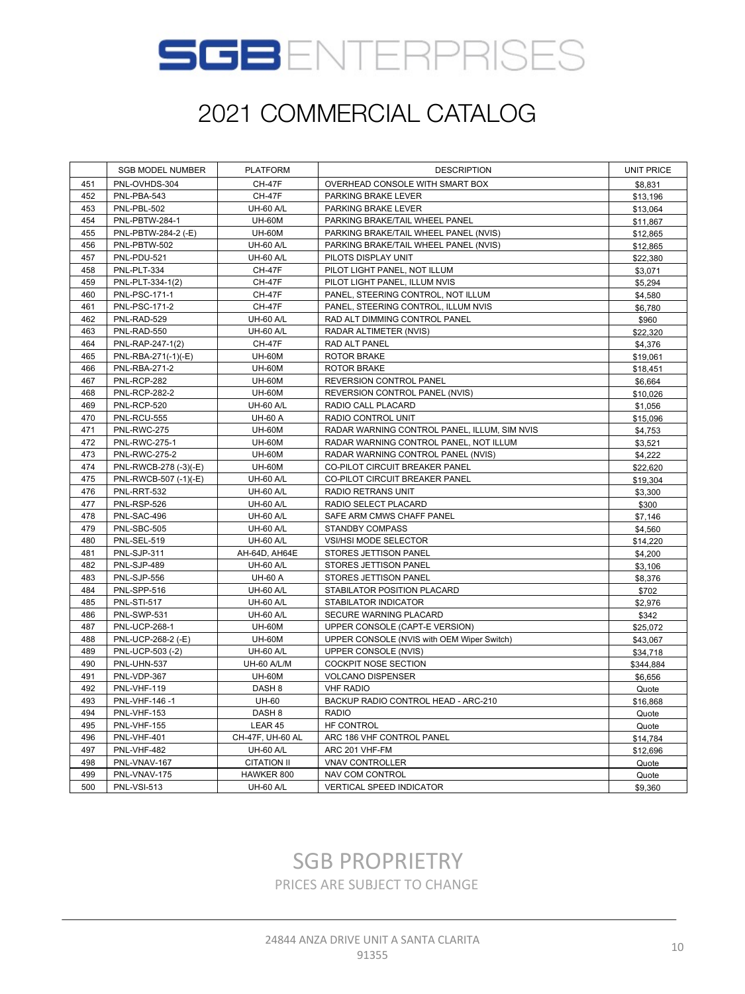

|     | <b>SGB MODEL NUMBER</b> | <b>PLATFORM</b>    | <b>DESCRIPTION</b>                           | <b>UNIT PRICE</b> |
|-----|-------------------------|--------------------|----------------------------------------------|-------------------|
| 451 | PNL-OVHDS-304           | <b>CH-47F</b>      | OVERHEAD CONSOLE WITH SMART BOX              | \$8,831           |
| 452 | PNL-PBA-543             | <b>CH-47F</b>      | PARKING BRAKE LEVER                          | \$13,196          |
| 453 | PNL-PBL-502             | <b>UH-60 A/L</b>   | PARKING BRAKE LEVER                          | \$13,064          |
| 454 | PNL-PBTW-284-1          | <b>UH-60M</b>      | PARKING BRAKE/TAIL WHEEL PANEL               | \$11,867          |
| 455 | PNL-PBTW-284-2 (-E)     | <b>UH-60M</b>      | PARKING BRAKE/TAIL WHEEL PANEL (NVIS)        | \$12,865          |
| 456 | PNL-PBTW-502            | <b>UH-60 A/L</b>   | PARKING BRAKE/TAIL WHEEL PANEL (NVIS)        | \$12,865          |
| 457 | PNL-PDU-521             | <b>UH-60 A/L</b>   | PILOTS DISPLAY UNIT                          | \$22,380          |
| 458 | PNL-PLT-334             | <b>CH-47F</b>      | PILOT LIGHT PANEL, NOT ILLUM                 | \$3,071           |
| 459 | PNL-PLT-334-1(2)        | <b>CH-47F</b>      | PILOT LIGHT PANEL, ILLUM NVIS                | \$5,294           |
| 460 | <b>PNL-PSC-171-1</b>    | <b>CH-47F</b>      | PANEL, STEERING CONTROL, NOT ILLUM           | \$4,580           |
| 461 | <b>PNL-PSC-171-2</b>    | <b>CH-47F</b>      | PANEL, STEERING CONTROL, ILLUM NVIS          | \$6,780           |
| 462 | PNL-RAD-529             | <b>UH-60 A/L</b>   | RAD ALT DIMMING CONTROL PANEL                | \$960             |
| 463 | PNL-RAD-550             | <b>UH-60 A/L</b>   | RADAR ALTIMETER (NVIS)                       | \$22,320          |
| 464 | PNL-RAP-247-1(2)        | <b>CH-47F</b>      | RAD ALT PANEL                                | \$4,376           |
| 465 | PNL-RBA-271(-1)(-E)     | <b>UH-60M</b>      | ROTOR BRAKE                                  | \$19,061          |
| 466 | PNL-RBA-271-2           | <b>UH-60M</b>      | <b>ROTOR BRAKE</b>                           | \$18,451          |
| 467 | PNL-RCP-282             | <b>UH-60M</b>      | REVERSION CONTROL PANEL                      | \$6,664           |
| 468 | <b>PNL-RCP-282-2</b>    | <b>UH-60M</b>      | REVERSION CONTROL PANEL (NVIS)               | \$10,026          |
| 469 | PNL-RCP-520             | <b>UH-60 A/L</b>   | RADIO CALL PLACARD                           | \$1,056           |
| 470 | PNL-RCU-555             | <b>UH-60 A</b>     | RADIO CONTROL UNIT                           | \$15,096          |
| 471 | PNL-RWC-275             | <b>UH-60M</b>      | RADAR WARNING CONTROL PANEL, ILLUM, SIM NVIS | \$4,753           |
| 472 | <b>PNL-RWC-275-1</b>    | <b>UH-60M</b>      | RADAR WARNING CONTROL PANEL, NOT ILLUM       | \$3,521           |
| 473 | <b>PNL-RWC-275-2</b>    | <b>UH-60M</b>      | RADAR WARNING CONTROL PANEL (NVIS)           | \$4,222           |
| 474 | PNL-RWCB-278 (-3)(-E)   | <b>UH-60M</b>      | CO-PILOT CIRCUIT BREAKER PANEL               | \$22,620          |
| 475 | PNL-RWCB-507 (-1)(-E)   | <b>UH-60 A/L</b>   | CO-PILOT CIRCUIT BREAKER PANEL               | \$19,304          |
| 476 | PNL-RRT-532             | <b>UH-60 A/L</b>   | RADIO RETRANS UNIT                           | \$3,300           |
| 477 | PNL-RSP-526             | <b>UH-60 A/L</b>   | RADIO SELECT PLACARD                         | \$300             |
| 478 | PNL-SAC-496             | <b>UH-60 A/L</b>   | SAFE ARM CMWS CHAFF PANEL                    | \$7,146           |
| 479 | PNL-SBC-505             | <b>UH-60 A/L</b>   | <b>STANDBY COMPASS</b>                       | \$4,560           |
| 480 | PNL-SEL-519             | <b>UH-60 A/L</b>   | VSI/HSI MODE SELECTOR                        | \$14,220          |
| 481 | PNL-SJP-311             | AH-64D, AH64E      | STORES JETTISON PANEL                        | \$4,200           |
| 482 | PNL-SJP-489             | <b>UH-60 A/L</b>   | STORES JETTISON PANEL                        | \$3,106           |
| 483 | PNL-SJP-556             | <b>UH-60 A</b>     | STORES JETTISON PANEL                        | \$8,376           |
| 484 | PNL-SPP-516             | <b>UH-60 A/L</b>   | STABILATOR POSITION PLACARD                  | \$702             |
| 485 | <b>PNL-STI-517</b>      | <b>UH-60 A/L</b>   | STABILATOR INDICATOR                         | \$2,976           |
| 486 | PNL-SWP-531             | <b>UH-60 A/L</b>   | SECURE WARNING PLACARD                       | \$342             |
| 487 | <b>PNL-UCP-268-1</b>    | <b>UH-60M</b>      | UPPER CONSOLE (CAPT-E VERSION)               | \$25,072          |
| 488 | PNL-UCP-268-2 (-E)      | <b>UH-60M</b>      | UPPER CONSOLE (NVIS with OEM Wiper Switch)   | \$43,067          |
| 489 | PNL-UCP-503 (-2)        | <b>UH-60 A/L</b>   | UPPER CONSOLE (NVIS)                         | \$34,718          |
| 490 | PNL-UHN-537             | UH-60 A/L/M        | <b>COCKPIT NOSE SECTION</b>                  | \$344,884         |
| 491 | PNL-VDP-367             | <b>UH-60M</b>      | <b>VOLCANO DISPENSER</b>                     | \$6,656           |
| 492 | PNL-VHF-119             | DASH <sub>8</sub>  | <b>VHF RADIO</b>                             | Quote             |
| 493 | PNL-VHF-146-1           | <b>UH-60</b>       | BACKUP RADIO CONTROL HEAD - ARC-210          | \$16,868          |
| 494 | PNL-VHF-153             | DASH <sub>8</sub>  | <b>RADIO</b>                                 | Quote             |
| 495 | PNL-VHF-155             | LEAR 45            | HF CONTROL                                   | Quote             |
| 496 | PNL-VHF-401             | CH-47F, UH-60 AL   | ARC 186 VHF CONTROL PANEL                    | \$14,784          |
| 497 | PNL-VHF-482             | <b>UH-60 A/L</b>   | ARC 201 VHF-FM                               | \$12,696          |
| 498 | PNL-VNAV-167            | <b>CITATION II</b> | <b>VNAV CONTROLLER</b>                       | Quote             |
| 499 | PNL-VNAV-175            | HAWKER 800         | NAV COM CONTROL                              | Quote             |
| 500 | <b>PNL-VSI-513</b>      | <b>UH-60 A/L</b>   | VERTICAL SPEED INDICATOR                     | \$9,360           |